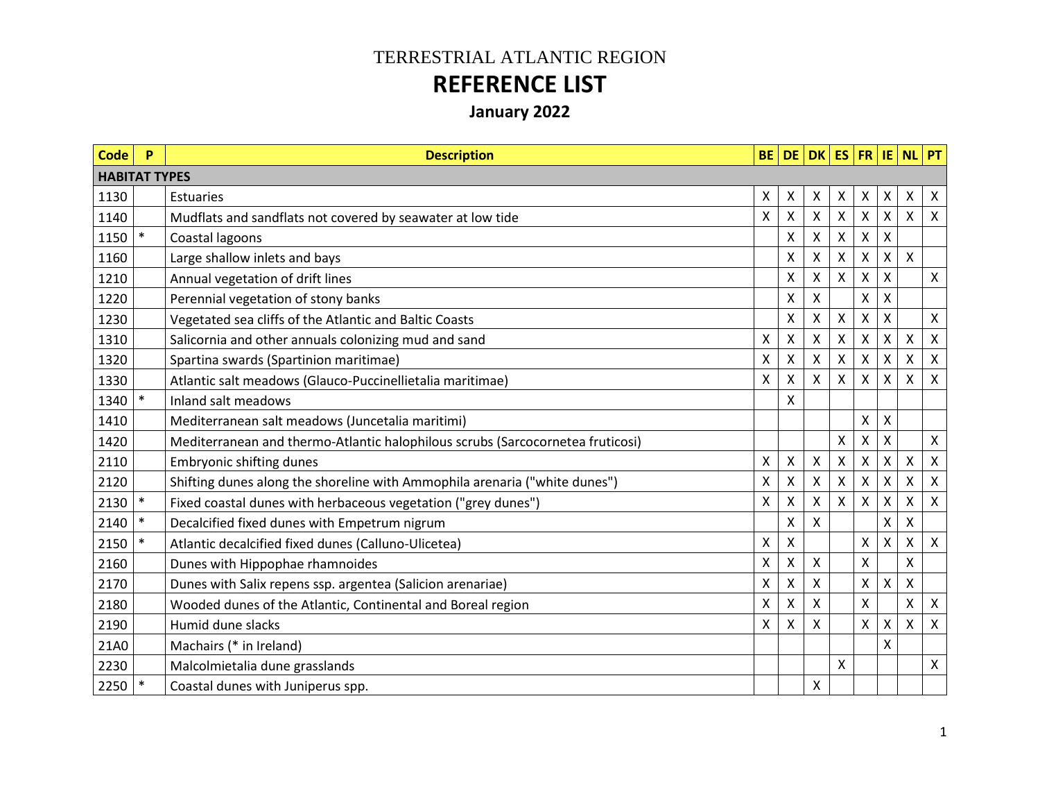## TERRESTRIAL ATLANTIC REGION **REFERENCE LIST**

## **January 2022**

| <b>Code</b>          | P      | <b>Description</b>                                                             | <b>BE</b>    |   |                    |                           |                           |                           | DE DK ES FR IE NL PT |                           |
|----------------------|--------|--------------------------------------------------------------------------------|--------------|---|--------------------|---------------------------|---------------------------|---------------------------|----------------------|---------------------------|
| <b>HABITAT TYPES</b> |        |                                                                                |              |   |                    |                           |                           |                           |                      |                           |
| 1130                 |        | <b>Estuaries</b>                                                               | X            | Χ | X                  | X                         | $\boldsymbol{\mathsf{X}}$ | Χ                         | X                    | X                         |
| 1140                 |        | Mudflats and sandflats not covered by seawater at low tide                     | X            | Χ | $\pmb{\mathsf{X}}$ | X                         | $\boldsymbol{\mathsf{X}}$ | X                         | Χ                    | $\boldsymbol{\mathsf{X}}$ |
| 1150                 | $\ast$ | Coastal lagoons                                                                |              | Χ | Χ                  | $\boldsymbol{\mathsf{X}}$ | $\boldsymbol{\mathsf{X}}$ | X                         |                      |                           |
| 1160                 |        | Large shallow inlets and bays                                                  |              | X | X                  | X                         | X                         | Χ                         | X                    |                           |
| 1210                 |        | Annual vegetation of drift lines                                               |              | Χ | X                  | X                         | $\boldsymbol{\mathsf{X}}$ | X                         |                      | $\mathsf{X}$              |
| 1220                 |        | Perennial vegetation of stony banks                                            |              | Χ | $\pmb{\mathsf{X}}$ |                           | X                         | X                         |                      |                           |
| 1230                 |        | Vegetated sea cliffs of the Atlantic and Baltic Coasts                         |              | Χ | Χ                  | X                         | $\boldsymbol{\mathsf{X}}$ | X                         |                      | $\mathsf{X}$              |
| 1310                 |        | Salicornia and other annuals colonizing mud and sand                           | X            | Χ | Χ                  | X                         | X                         | Χ                         | X                    | $\boldsymbol{\mathsf{X}}$ |
| 1320                 |        | Spartina swards (Spartinion maritimae)                                         | X            | X | X                  | X                         | X                         | X                         | X                    | $\boldsymbol{\mathsf{X}}$ |
| 1330                 |        | Atlantic salt meadows (Glauco-Puccinellietalia maritimae)                      | X            | X | $\sf X$            | $\times$                  | $\times$                  | X                         | X                    | $\boldsymbol{\mathsf{X}}$ |
| 1340                 | $\ast$ | <b>Inland salt meadows</b>                                                     |              | X |                    |                           |                           |                           |                      |                           |
| 1410                 |        | Mediterranean salt meadows (Juncetalia maritimi)                               |              |   |                    |                           | X                         | X                         |                      |                           |
| 1420                 |        | Mediterranean and thermo-Atlantic halophilous scrubs (Sarcocornetea fruticosi) |              |   |                    | X                         | X                         | X                         |                      | $\mathsf{X}$              |
| 2110                 |        | <b>Embryonic shifting dunes</b>                                                | X            | Χ | $\pmb{\mathsf{X}}$ | $\mathsf{\chi}$           | $\mathsf{X}$              | $\mathsf{\chi}$           | X                    | $\boldsymbol{\mathsf{X}}$ |
| 2120                 |        | Shifting dunes along the shoreline with Ammophila arenaria ("white dunes")     | $\mathsf{X}$ | X | $\pmb{\mathsf{X}}$ | $\pmb{\mathsf{X}}$        | $\pmb{\times}$            | $\pmb{\mathsf{X}}$        | X                    | $\boldsymbol{\mathsf{X}}$ |
| 2130                 | $\ast$ | Fixed coastal dunes with herbaceous vegetation ("grey dunes")                  | X            | Χ | X                  | $\boldsymbol{\mathsf{X}}$ | $\boldsymbol{\mathsf{X}}$ | $\boldsymbol{\mathsf{X}}$ | X                    | $\boldsymbol{\mathsf{X}}$ |
| 2140                 | $\ast$ | Decalcified fixed dunes with Empetrum nigrum                                   |              | Χ | Χ                  |                           |                           | X                         | X                    |                           |
| 2150                 | $\ast$ | Atlantic decalcified fixed dunes (Calluno-Ulicetea)                            | Χ            | Χ |                    |                           | $\pmb{\times}$            | X                         | X                    | $\mathsf{X}$              |
| 2160                 |        | Dunes with Hippophae rhamnoides                                                | Χ            | Χ | Χ                  |                           | $\pmb{\times}$            |                           | X                    |                           |
| 2170                 |        | Dunes with Salix repens ssp. argentea (Salicion arenariae)                     | X            | Χ | X                  |                           | $\pmb{\mathsf{X}}$        | $\pmb{\mathsf{X}}$        | X                    |                           |
| 2180                 |        | Wooded dunes of the Atlantic, Continental and Boreal region                    | Χ            | X | X                  |                           | X                         |                           | X                    | $\mathsf{X}$              |
| 2190                 |        | Humid dune slacks                                                              | X            | x | Χ                  |                           | X                         | X                         | X                    | $\boldsymbol{\mathsf{X}}$ |
| 21A0                 |        | Machairs (* in Ireland)                                                        |              |   |                    |                           |                           | X                         |                      |                           |
| 2230                 |        | Malcolmietalia dune grasslands                                                 |              |   |                    | X                         |                           |                           |                      | $\mathsf{X}$              |
| 2250                 | $\ast$ | Coastal dunes with Juniperus spp.                                              |              |   | X                  |                           |                           |                           |                      |                           |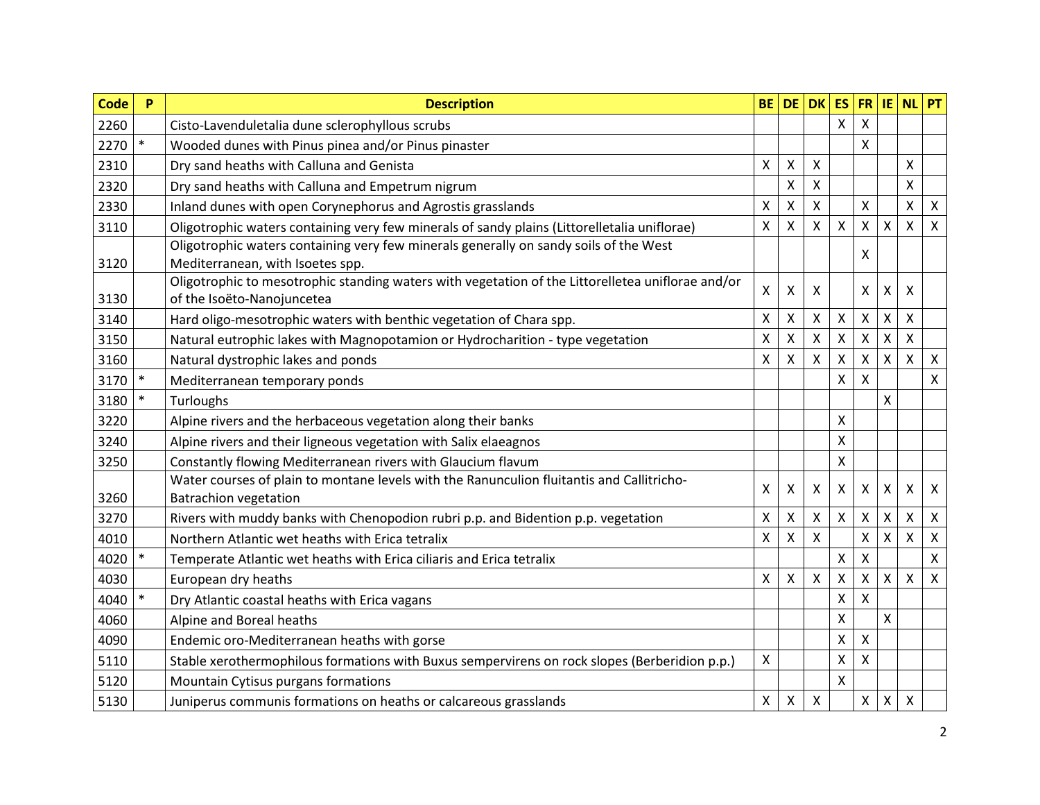| <b>Code</b> | P      | <b>Description</b>                                                                                                              | <b>BE</b>    | <b>DE</b>                 | <b>DK</b>                 | <b>ES</b>          | <b>FR</b>                 | IE.                       | <b>NL</b>                 | PT                        |
|-------------|--------|---------------------------------------------------------------------------------------------------------------------------------|--------------|---------------------------|---------------------------|--------------------|---------------------------|---------------------------|---------------------------|---------------------------|
| 2260        |        | Cisto-Lavenduletalia dune sclerophyllous scrubs                                                                                 |              |                           |                           | X                  | X                         |                           |                           |                           |
| 2270        | $\ast$ | Wooded dunes with Pinus pinea and/or Pinus pinaster                                                                             |              |                           |                           |                    | Χ                         |                           |                           |                           |
| 2310        |        | Dry sand heaths with Calluna and Genista                                                                                        | X            | $\boldsymbol{\mathsf{X}}$ | $\boldsymbol{\mathsf{X}}$ |                    |                           |                           | Χ                         |                           |
| 2320        |        | Dry sand heaths with Calluna and Empetrum nigrum                                                                                |              | $\boldsymbol{\mathsf{X}}$ | X                         |                    |                           |                           | $\pmb{\mathsf{X}}$        |                           |
| 2330        |        | Inland dunes with open Corynephorus and Agrostis grasslands                                                                     | X            | $\boldsymbol{\mathsf{X}}$ | X                         |                    | X                         |                           | $\pmb{\mathsf{X}}$        | $\boldsymbol{\mathsf{X}}$ |
| 3110        |        | Oligotrophic waters containing very few minerals of sandy plains (Littorelletalia uniflorae)                                    | X            | X                         | X                         | Χ                  | Χ                         | X                         | $\pmb{\mathsf{X}}$        | $\boldsymbol{\mathsf{X}}$ |
| 3120        |        | Oligotrophic waters containing very few minerals generally on sandy soils of the West<br>Mediterranean, with Isoetes spp.       |              |                           |                           |                    | X                         |                           |                           |                           |
| 3130        |        | Oligotrophic to mesotrophic standing waters with vegetation of the Littorelletea uniflorae and/or<br>of the Isoëto-Nanojuncetea | $\mathsf{X}$ | $\boldsymbol{\mathsf{X}}$ | $\boldsymbol{\mathsf{X}}$ |                    | $\boldsymbol{\mathsf{X}}$ | X                         | X                         |                           |
| 3140        |        | Hard oligo-mesotrophic waters with benthic vegetation of Chara spp.                                                             | Χ            | $\boldsymbol{\mathsf{X}}$ | X                         | X                  | X                         | X                         | $\pmb{\mathsf{X}}$        |                           |
| 3150        |        | Natural eutrophic lakes with Magnopotamion or Hydrocharition - type vegetation                                                  | Χ            | $\mathsf{X}$              | $\pmb{\times}$            | Χ                  | $\boldsymbol{\mathsf{X}}$ | X                         | X                         |                           |
| 3160        |        | Natural dystrophic lakes and ponds                                                                                              | Χ            | $\boldsymbol{\mathsf{X}}$ | X                         | Χ                  | X                         | X                         | $\pmb{\mathsf{X}}$        | $\boldsymbol{\mathsf{X}}$ |
| 3170        | $\ast$ | Mediterranean temporary ponds                                                                                                   |              |                           |                           | Χ                  | X                         |                           |                           | $\boldsymbol{\mathsf{X}}$ |
| 3180        | $\ast$ | Turloughs                                                                                                                       |              |                           |                           |                    |                           | X                         |                           |                           |
| 3220        |        | Alpine rivers and the herbaceous vegetation along their banks                                                                   |              |                           |                           | X                  |                           |                           |                           |                           |
| 3240        |        | Alpine rivers and their ligneous vegetation with Salix elaeagnos                                                                |              |                           |                           | Χ                  |                           |                           |                           |                           |
| 3250        |        | Constantly flowing Mediterranean rivers with Glaucium flavum                                                                    |              |                           |                           | Χ                  |                           |                           |                           |                           |
| 3260        |        | Water courses of plain to montane levels with the Ranunculion fluitantis and Callitricho-<br><b>Batrachion vegetation</b>       | $\mathsf{X}$ | $\boldsymbol{\mathsf{X}}$ | $\boldsymbol{\mathsf{X}}$ | X                  | $\boldsymbol{\mathsf{X}}$ | X                         | X                         | $\boldsymbol{\mathsf{X}}$ |
| 3270        |        | Rivers with muddy banks with Chenopodion rubri p.p. and Bidention p.p. vegetation                                               | Χ            | $\boldsymbol{\mathsf{X}}$ | X                         | $\pmb{\times}$     | X                         | X                         | X                         | $\boldsymbol{\mathsf{X}}$ |
| 4010        |        | Northern Atlantic wet heaths with Erica tetralix                                                                                | X            | $\boldsymbol{\mathsf{X}}$ | X                         |                    | $\boldsymbol{\mathsf{X}}$ | $\boldsymbol{\mathsf{X}}$ | $\mathsf{X}$              | $\mathsf{X}$              |
| 4020        | $\ast$ | Temperate Atlantic wet heaths with Erica ciliaris and Erica tetralix                                                            |              |                           |                           | $\pmb{\mathsf{X}}$ | Χ                         |                           |                           | $\boldsymbol{\mathsf{X}}$ |
| 4030        |        | European dry heaths                                                                                                             | $\mathsf{X}$ | $\boldsymbol{\mathsf{X}}$ | $\boldsymbol{\mathsf{X}}$ | Χ                  | $\pmb{\times}$            | $\mathsf{\chi}$           | $\mathsf{X}$              | $\boldsymbol{\mathsf{X}}$ |
| 4040        |        | Dry Atlantic coastal heaths with Erica vagans                                                                                   |              |                           |                           | X                  | X                         |                           |                           |                           |
| 4060        |        | Alpine and Boreal heaths                                                                                                        |              |                           |                           | Χ                  |                           | X                         |                           |                           |
| 4090        |        | Endemic oro-Mediterranean heaths with gorse                                                                                     |              |                           |                           | $\pmb{\mathsf{X}}$ | $\pmb{\mathsf{X}}$        |                           |                           |                           |
| 5110        |        | Stable xerothermophilous formations with Buxus sempervirens on rock slopes (Berberidion p.p.)                                   | X            |                           |                           | Χ                  | X                         |                           |                           |                           |
| 5120        |        | Mountain Cytisus purgans formations                                                                                             |              |                           |                           | Χ                  |                           |                           |                           |                           |
| 5130        |        | Juniperus communis formations on heaths or calcareous grasslands                                                                | X            | $\boldsymbol{\mathsf{X}}$ | $\boldsymbol{\mathsf{X}}$ |                    | $\mathsf X$               | Χ                         | $\boldsymbol{\mathsf{X}}$ |                           |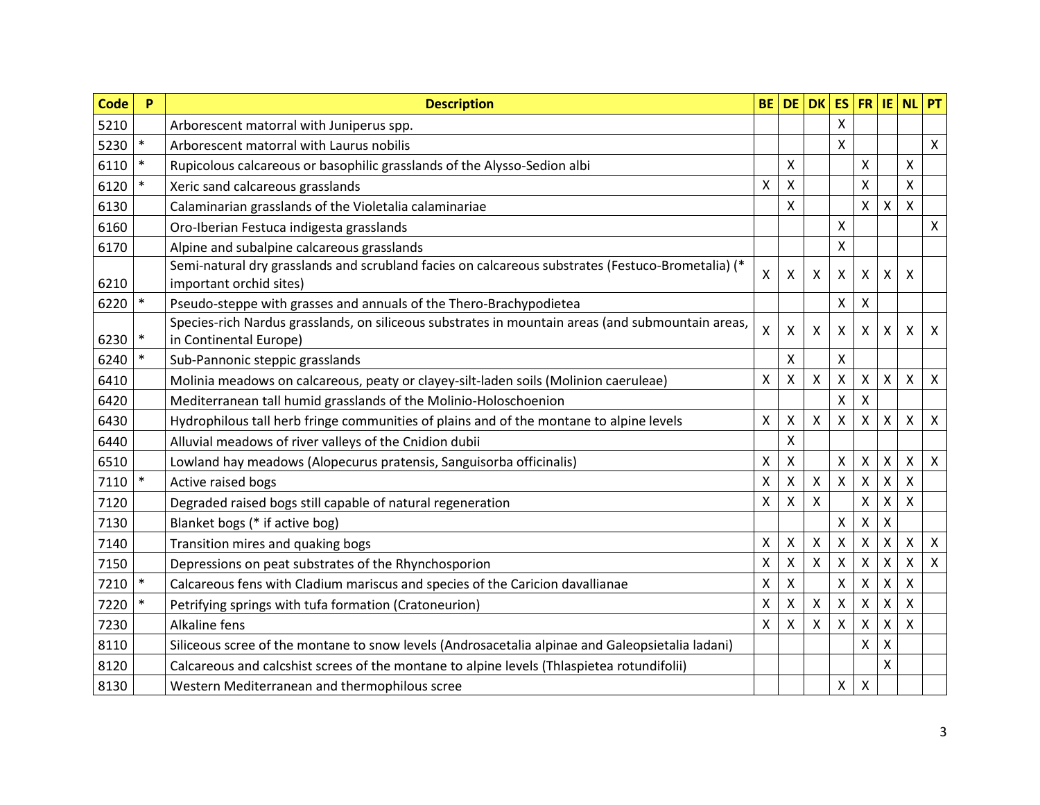| <b>Code</b> | P      | <b>Description</b>                                                                                                           | <b>BE</b>                 | <b>DE</b>                 | <b>DK</b>                 | <b>ES</b>          | FR                        | IE.                | <b>NL</b>       | PT                        |
|-------------|--------|------------------------------------------------------------------------------------------------------------------------------|---------------------------|---------------------------|---------------------------|--------------------|---------------------------|--------------------|-----------------|---------------------------|
| 5210        |        | Arborescent matorral with Juniperus spp.                                                                                     |                           |                           |                           | Χ                  |                           |                    |                 |                           |
| 5230        | $\ast$ | Arborescent matorral with Laurus nobilis                                                                                     |                           |                           |                           | Χ                  |                           |                    |                 | $\boldsymbol{\mathsf{X}}$ |
| 6110        | $\ast$ | Rupicolous calcareous or basophilic grasslands of the Alysso-Sedion albi                                                     |                           | X                         |                           |                    | $\pmb{\mathsf{X}}$        |                    | X               |                           |
| 6120        | $\ast$ | Xeric sand calcareous grasslands                                                                                             | Χ                         | $\boldsymbol{\mathsf{X}}$ |                           |                    | X                         |                    | Χ               |                           |
| 6130        |        | Calaminarian grasslands of the Violetalia calaminariae                                                                       |                           | Χ                         |                           |                    | X                         | Χ                  | $\mathsf{X}$    |                           |
| 6160        |        | Oro-Iberian Festuca indigesta grasslands                                                                                     |                           |                           |                           | Χ                  |                           |                    |                 | $\pmb{\times}$            |
| 6170        |        | Alpine and subalpine calcareous grasslands                                                                                   |                           |                           |                           | Χ                  |                           |                    |                 |                           |
| 6210        |        | Semi-natural dry grasslands and scrubland facies on calcareous substrates (Festuco-Brometalia) (*<br>important orchid sites) | $\boldsymbol{\mathsf{X}}$ | X                         | $\boldsymbol{\mathsf{X}}$ | Χ                  | X                         | X                  | Χ               |                           |
| 6220        | $\ast$ | Pseudo-steppe with grasses and annuals of the Thero-Brachypodietea                                                           |                           |                           |                           | Χ                  | $\mathsf{X}$              |                    |                 |                           |
| 6230        | $\ast$ | Species-rich Nardus grasslands, on siliceous substrates in mountain areas (and submountain areas,<br>in Continental Europe)  | $\sf X$                   | $\boldsymbol{\mathsf{X}}$ | $\mathsf{X}$              | X                  | X                         | X                  | X               | X                         |
| 6240        | $\ast$ | Sub-Pannonic steppic grasslands                                                                                              |                           | $\boldsymbol{\mathsf{X}}$ |                           | Χ                  |                           |                    |                 |                           |
| 6410        |        | Molinia meadows on calcareous, peaty or clayey-silt-laden soils (Molinion caeruleae)                                         | $\boldsymbol{\mathsf{X}}$ | $\mathsf{X}$              | $\boldsymbol{\mathsf{X}}$ | $\mathsf{X}$       | $\mathsf{x}$              | $\mathsf{X}$       | $\mathsf{X}$    | $\boldsymbol{\mathsf{X}}$ |
| 6420        |        | Mediterranean tall humid grasslands of the Molinio-Holoschoenion                                                             |                           |                           |                           | X                  | X                         |                    |                 |                           |
| 6430        |        | Hydrophilous tall herb fringe communities of plains and of the montane to alpine levels                                      | $\mathsf{X}$              | $\pmb{\times}$            | $\mathsf{X}$              | $\mathsf{X}$       | $\mathsf{x}$              | $\pmb{\mathsf{X}}$ | $\mathsf{\chi}$ | $\boldsymbol{\mathsf{X}}$ |
| 6440        |        | Alluvial meadows of river valleys of the Cnidion dubii                                                                       |                           | X                         |                           |                    |                           |                    |                 |                           |
| 6510        |        | Lowland hay meadows (Alopecurus pratensis, Sanguisorba officinalis)                                                          | Χ                         | $\pmb{\times}$            |                           | Χ                  | $\boldsymbol{\mathsf{X}}$ | $\pmb{\mathsf{X}}$ | $\mathsf{X}$    | $\boldsymbol{\mathsf{X}}$ |
| 7110        | $\ast$ | Active raised bogs                                                                                                           | Χ                         | $\pmb{\times}$            | X                         | X                  | X                         | Χ                  | Χ               |                           |
| 7120        |        | Degraded raised bogs still capable of natural regeneration                                                                   | X                         | $\boldsymbol{\mathsf{X}}$ | X                         |                    | $\mathsf{X}$              | Χ                  | X               |                           |
| 7130        |        | Blanket bogs (* if active bog)                                                                                               |                           |                           |                           | Χ                  | X                         | Χ                  |                 |                           |
| 7140        |        | Transition mires and quaking bogs                                                                                            | $\mathsf{X}$              | $\boldsymbol{\mathsf{X}}$ | $\boldsymbol{\mathsf{X}}$ | $\pmb{\mathsf{X}}$ | $\mathsf{X}$              | $\mathsf{X}$       | X               | $\boldsymbol{\mathsf{X}}$ |
| 7150        |        | Depressions on peat substrates of the Rhynchosporion                                                                         | Χ                         | $\pmb{\times}$            | $\boldsymbol{\mathsf{X}}$ | Χ                  | X                         | Χ                  | Χ               | $\boldsymbol{\mathsf{X}}$ |
| 7210        | $\ast$ | Calcareous fens with Cladium mariscus and species of the Caricion davallianae                                                | $\mathsf{X}$              | $\boldsymbol{\mathsf{X}}$ |                           | X                  | Χ                         | X                  | $\mathsf{\chi}$ |                           |
| 7220        | $\ast$ | Petrifying springs with tufa formation (Cratoneurion)                                                                        | Χ                         | $\pmb{\times}$            | $\pmb{\times}$            | X                  | X                         | Χ                  | Χ               |                           |
| 7230        |        | Alkaline fens                                                                                                                | $\mathsf{X}$              | $\pmb{\times}$            | $\pmb{\mathsf{X}}$        | Χ                  | $\mathsf{X}$              | Χ                  | X               |                           |
| 8110        |        | Siliceous scree of the montane to snow levels (Androsacetalia alpinae and Galeopsietalia ladani)                             |                           |                           |                           |                    | X                         | Χ                  |                 |                           |
| 8120        |        | Calcareous and calcshist screes of the montane to alpine levels (Thlaspietea rotundifolii)                                   |                           |                           |                           |                    |                           | Χ                  |                 |                           |
| 8130        |        | Western Mediterranean and thermophilous scree                                                                                |                           |                           |                           | X                  | $\boldsymbol{\mathsf{X}}$ |                    |                 |                           |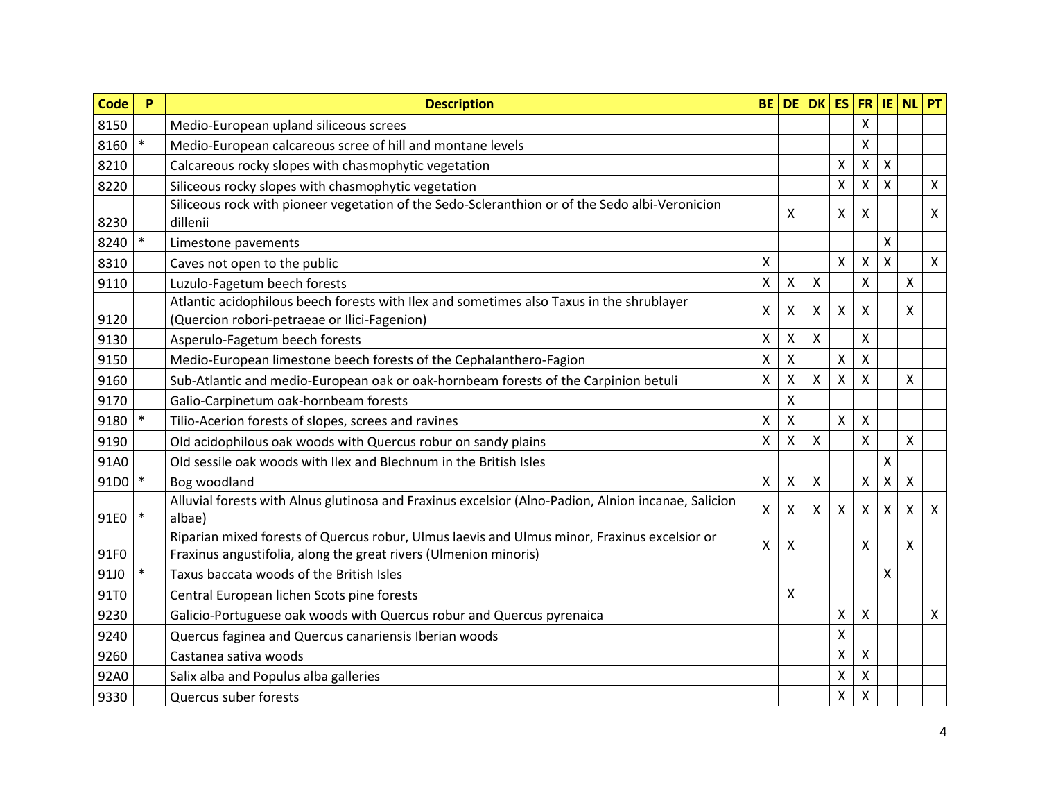| <b>Code</b> | P      | <b>Description</b>                                                                                  | <b>BE</b>                 | <b>DE</b>                 | $DK$ ES                   |                           | <b>FR</b>                 | $ $ IE       | <b>NL</b> | PT                        |
|-------------|--------|-----------------------------------------------------------------------------------------------------|---------------------------|---------------------------|---------------------------|---------------------------|---------------------------|--------------|-----------|---------------------------|
| 8150        |        | Medio-European upland siliceous screes                                                              |                           |                           |                           |                           | X                         |              |           |                           |
| 8160        | $\ast$ | Medio-European calcareous scree of hill and montane levels                                          |                           |                           |                           |                           | Χ                         |              |           |                           |
| 8210        |        | Calcareous rocky slopes with chasmophytic vegetation                                                |                           |                           |                           | Χ                         | $\mathsf{X}$              | $\mathsf{X}$ |           |                           |
| 8220        |        | Siliceous rocky slopes with chasmophytic vegetation                                                 |                           |                           |                           | X                         | X                         | X            |           | $\pmb{\times}$            |
|             |        | Siliceous rock with pioneer vegetation of the Sedo-Scleranthion or of the Sedo albi-Veronicion      |                           | X                         |                           | X                         | X                         |              |           | $\boldsymbol{\mathsf{X}}$ |
| 8230        |        | dillenii                                                                                            |                           |                           |                           |                           |                           |              |           |                           |
| 8240        |        | Limestone pavements                                                                                 |                           |                           |                           |                           |                           | X            |           |                           |
| 8310        |        | Caves not open to the public                                                                        | Χ                         |                           |                           | X                         | $\boldsymbol{\mathsf{X}}$ | X            |           | $\boldsymbol{\mathsf{X}}$ |
| 9110        |        | Luzulo-Fagetum beech forests                                                                        | Χ                         | $\boldsymbol{\mathsf{X}}$ | $\boldsymbol{\mathsf{X}}$ |                           | X                         |              | X         |                           |
|             |        | Atlantic acidophilous beech forests with Ilex and sometimes also Taxus in the shrublayer            | X                         | $\boldsymbol{\mathsf{X}}$ | X                         | $\boldsymbol{\mathsf{X}}$ | X                         |              | X         |                           |
| 9120        |        | (Quercion robori-petraeae or Ilici-Fagenion)                                                        |                           |                           |                           |                           |                           |              |           |                           |
| 9130        |        | Asperulo-Fagetum beech forests                                                                      | $\pmb{\mathsf{X}}$        | $\pmb{\mathsf{X}}$        | $\boldsymbol{\mathsf{X}}$ |                           | X                         |              |           |                           |
| 9150        |        | Medio-European limestone beech forests of the Cephalanthero-Fagion                                  | Χ                         | $\boldsymbol{\mathsf{X}}$ |                           | X                         | X                         |              |           |                           |
| 9160        |        | Sub-Atlantic and medio-European oak or oak-hornbeam forests of the Carpinion betuli                 | X                         | $\boldsymbol{\mathsf{X}}$ | X                         | $\mathsf{X}$              | X                         |              | X         |                           |
| 9170        |        | Galio-Carpinetum oak-hornbeam forests                                                               |                           | $\boldsymbol{\mathsf{X}}$ |                           |                           |                           |              |           |                           |
| 9180        | $\ast$ | Tilio-Acerion forests of slopes, screes and ravines                                                 | X                         | $\boldsymbol{\mathsf{X}}$ |                           | X                         | X                         |              |           |                           |
| 9190        |        | Old acidophilous oak woods with Quercus robur on sandy plains                                       | Χ                         | $\boldsymbol{\mathsf{X}}$ | $\boldsymbol{\mathsf{X}}$ |                           | $\mathsf{X}$              |              | X         |                           |
| 91A0        |        | Old sessile oak woods with Ilex and Blechnum in the British Isles                                   |                           |                           |                           |                           |                           | X            |           |                           |
| 91D0        | $\ast$ | Bog woodland                                                                                        | $\boldsymbol{\mathsf{X}}$ | $\boldsymbol{\mathsf{X}}$ | $\boldsymbol{\mathsf{X}}$ |                           | Χ                         | Χ            | X         |                           |
|             |        | Alluvial forests with Alnus glutinosa and Fraxinus excelsior (Alno-Padion, Alnion incanae, Salicion | $\mathsf{X}$              | $\boldsymbol{\mathsf{X}}$ | X                         | X                         | X                         | X            | X         | $\boldsymbol{\mathsf{X}}$ |
| 91E0        | $\ast$ | albae)                                                                                              |                           |                           |                           |                           |                           |              |           |                           |
|             |        | Riparian mixed forests of Quercus robur, Ulmus laevis and Ulmus minor, Fraxinus excelsior or        | X                         | X                         |                           |                           | X                         |              | X         |                           |
| 91F0        |        | Fraxinus angustifolia, along the great rivers (Ulmenion minoris)                                    |                           |                           |                           |                           |                           |              |           |                           |
| 91J0        | $\ast$ | Taxus baccata woods of the British Isles                                                            |                           |                           |                           |                           |                           | X            |           |                           |
| 91T0        |        | Central European lichen Scots pine forests                                                          |                           | $\boldsymbol{\mathsf{X}}$ |                           |                           |                           |              |           |                           |
| 9230        |        | Galicio-Portuguese oak woods with Quercus robur and Quercus pyrenaica                               |                           |                           |                           | X                         | X                         |              |           | X                         |
| 9240        |        | Quercus faginea and Quercus canariensis Iberian woods                                               |                           |                           |                           | $\pmb{\mathsf{X}}$        |                           |              |           |                           |
| 9260        |        | Castanea sativa woods                                                                               |                           |                           |                           | Χ                         | Χ                         |              |           |                           |
| 92A0        |        | Salix alba and Populus alba galleries                                                               |                           |                           |                           | $\pmb{\mathsf{X}}$        | X                         |              |           |                           |
| 9330        |        | Quercus suber forests                                                                               |                           |                           |                           | Χ                         | Χ                         |              |           |                           |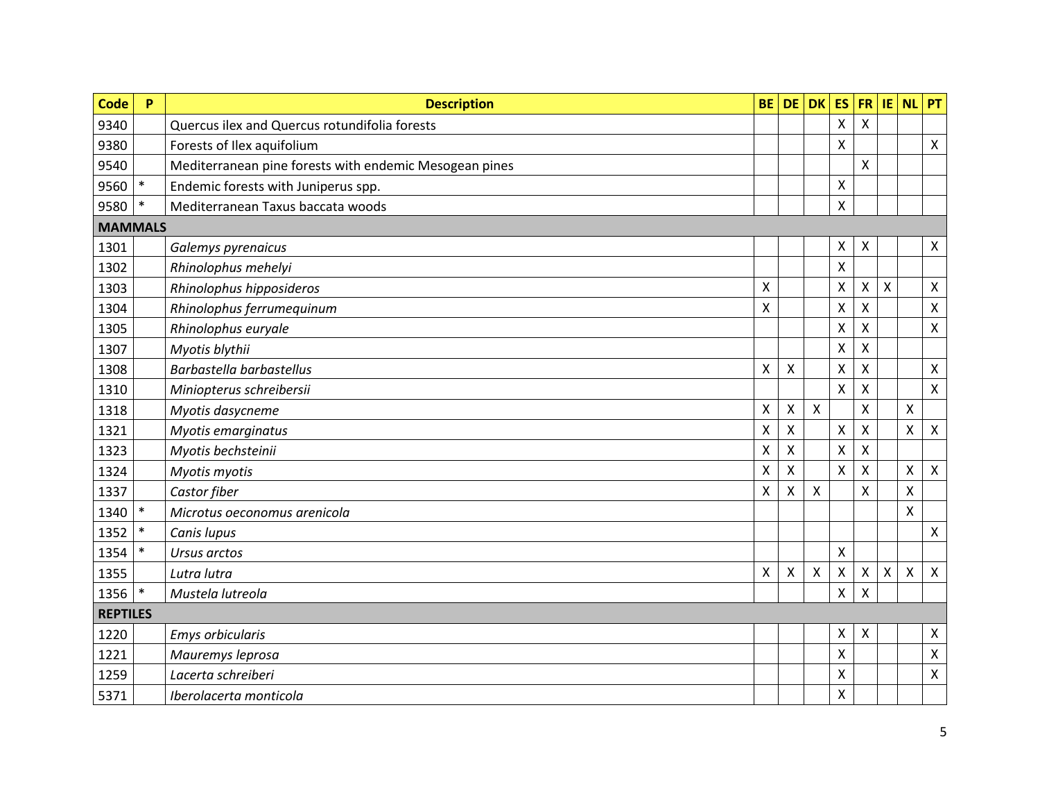| <b>Code</b>     | P      | <b>Description</b>                                     | <b>BE</b>          | <b>DE</b>                 | <b>DK</b>                 | <b>ES</b>                 | <b>FR</b>                 | IE | <b>NL</b>          | PT                        |
|-----------------|--------|--------------------------------------------------------|--------------------|---------------------------|---------------------------|---------------------------|---------------------------|----|--------------------|---------------------------|
| 9340            |        | Quercus ilex and Quercus rotundifolia forests          |                    |                           |                           | Χ                         | Χ                         |    |                    |                           |
| 9380            |        | Forests of Ilex aquifolium                             |                    |                           |                           | X                         |                           |    |                    | $\pmb{\times}$            |
| 9540            |        | Mediterranean pine forests with endemic Mesogean pines |                    |                           |                           |                           | $\mathsf{X}$              |    |                    |                           |
| 9560            | $\ast$ | Endemic forests with Juniperus spp.                    |                    |                           |                           | X                         |                           |    |                    |                           |
| 9580            | $\ast$ | Mediterranean Taxus baccata woods                      |                    |                           |                           | Χ                         |                           |    |                    |                           |
| <b>MAMMALS</b>  |        |                                                        |                    |                           |                           |                           |                           |    |                    |                           |
| 1301            |        | Galemys pyrenaicus                                     |                    |                           |                           | Χ                         | $\boldsymbol{\mathsf{X}}$ |    |                    | $\boldsymbol{\mathsf{X}}$ |
| 1302            |        | Rhinolophus mehelyi                                    |                    |                           |                           | X                         |                           |    |                    |                           |
| 1303            |        | Rhinolophus hipposideros                               | X                  |                           |                           | $\pmb{\mathsf{X}}$        | $\boldsymbol{\mathsf{X}}$ | X  |                    | $\boldsymbol{\mathsf{X}}$ |
| 1304            |        | Rhinolophus ferrumequinum                              | Χ                  |                           |                           | $\pmb{\mathsf{X}}$        | Χ                         |    |                    | $\pmb{\mathsf{X}}$        |
| 1305            |        | Rhinolophus euryale                                    |                    |                           |                           | $\pmb{\mathsf{X}}$        | Χ                         |    |                    | $\boldsymbol{\mathsf{X}}$ |
| 1307            |        | Myotis blythii                                         |                    |                           |                           | Χ                         | X                         |    |                    |                           |
| 1308            |        | Barbastella barbastellus                               | $\pmb{\mathsf{X}}$ | $\boldsymbol{\mathsf{X}}$ |                           | $\boldsymbol{\mathsf{X}}$ | X                         |    |                    | $\boldsymbol{\mathsf{X}}$ |
| 1310            |        | Miniopterus schreibersii                               |                    |                           |                           | X                         | Χ                         |    |                    | $\mathsf{X}$              |
| 1318            |        | Myotis dasycneme                                       | X                  | $\mathsf{X}$              | $\boldsymbol{\mathsf{X}}$ |                           | $\mathsf{\chi}$           |    | $\mathsf{X}$       |                           |
| 1321            |        | Myotis emarginatus                                     | Χ                  | $\boldsymbol{\mathsf{X}}$ |                           | Χ                         | Χ                         |    | $\pmb{\mathsf{X}}$ | X                         |
| 1323            |        | Myotis bechsteinii                                     | X                  | $\boldsymbol{\mathsf{X}}$ |                           | Χ                         | X                         |    |                    |                           |
| 1324            |        | Myotis myotis                                          | X                  | $\boldsymbol{\mathsf{X}}$ |                           | X                         | X                         |    | $\pmb{\mathsf{X}}$ | $\boldsymbol{\mathsf{X}}$ |
| 1337            |        | Castor fiber                                           | Χ                  | $\boldsymbol{\mathsf{X}}$ | $\mathsf{X}$              |                           | $\mathsf{X}$              |    | $\pmb{\mathsf{X}}$ |                           |
| 1340            | $\ast$ | Microtus oeconomus arenicola                           |                    |                           |                           |                           |                           |    | X                  |                           |
| 1352            | $\ast$ | Canis lupus                                            |                    |                           |                           |                           |                           |    |                    | $\mathsf{X}$              |
| 1354            | $\ast$ | Ursus arctos                                           |                    |                           |                           | Χ                         |                           |    |                    |                           |
| 1355            |        | Lutra lutra                                            | Χ                  | $\boldsymbol{\mathsf{X}}$ | $\boldsymbol{\mathsf{X}}$ | $\pmb{\times}$            | $\boldsymbol{\mathsf{X}}$ | X  | X                  | $\boldsymbol{\mathsf{X}}$ |
| 1356            | $\ast$ | Mustela lutreola                                       |                    |                           |                           | Χ                         | Χ                         |    |                    |                           |
| <b>REPTILES</b> |        |                                                        |                    |                           |                           |                           |                           |    |                    |                           |
| 1220            |        | Emys orbicularis                                       |                    |                           |                           | X                         | $\boldsymbol{\mathsf{X}}$ |    |                    | $\pmb{\mathsf{X}}$        |
| 1221            |        | Mauremys leprosa                                       |                    |                           |                           | Χ                         |                           |    |                    | $\pmb{\mathsf{X}}$        |
| 1259            |        | Lacerta schreiberi                                     |                    |                           |                           | Χ                         |                           |    |                    | $\boldsymbol{\mathsf{X}}$ |
| 5371            |        | Iberolacerta monticola                                 |                    |                           |                           | $\pmb{\mathsf{X}}$        |                           |    |                    |                           |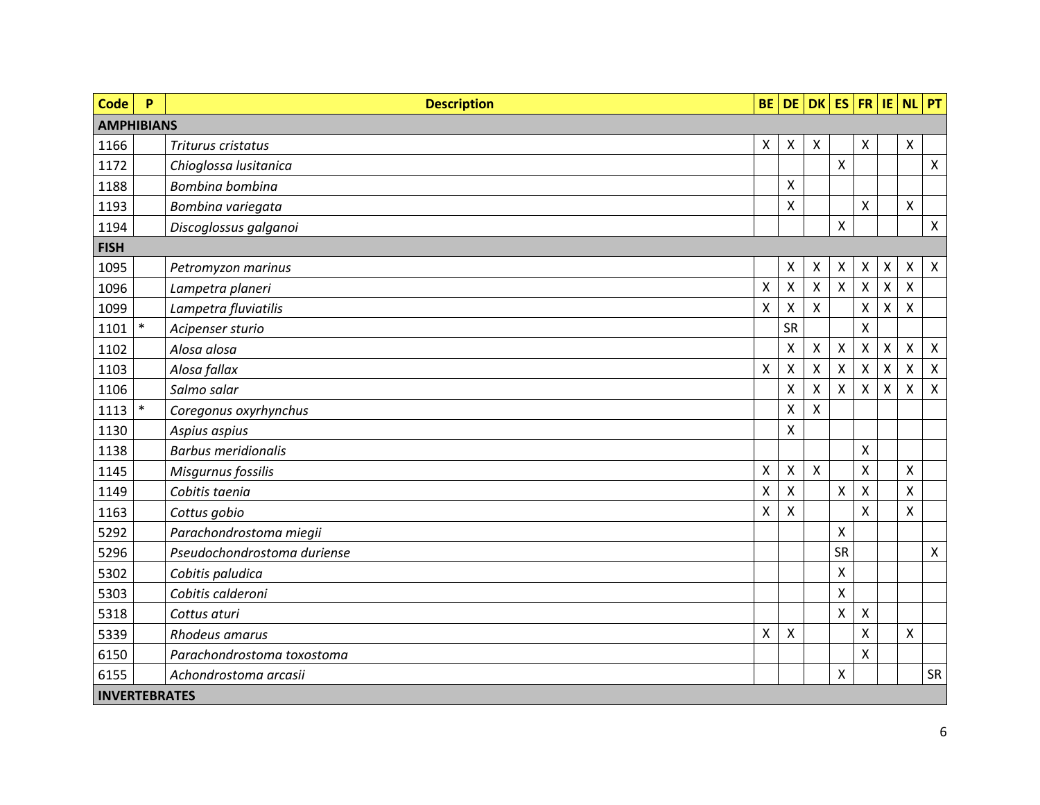| <b>Code</b>          | P      | <b>Description</b>          | <b>BE</b>          |                | $DE$ DK      | $ES$ FR                   |              | IE.            | <b>NL</b>                 | PT             |
|----------------------|--------|-----------------------------|--------------------|----------------|--------------|---------------------------|--------------|----------------|---------------------------|----------------|
| <b>AMPHIBIANS</b>    |        |                             |                    |                |              |                           |              |                |                           |                |
| 1166                 |        | Triturus cristatus          | X                  | Χ              | $\mathsf{X}$ |                           | Χ            |                | X                         |                |
| 1172                 |        | Chioglossa lusitanica       |                    |                |              | Χ                         |              |                |                           | $\mathsf{X}$   |
| 1188                 |        | Bombina bombina             |                    | X              |              |                           |              |                |                           |                |
| 1193                 |        | Bombina variegata           |                    | X              |              |                           | X            |                | X                         |                |
| 1194                 |        | Discoglossus galganoi       |                    |                |              | $\boldsymbol{\mathsf{X}}$ |              |                |                           | $\mathsf{X}^-$ |
| <b>FISH</b>          |        |                             |                    |                |              |                           |              |                |                           |                |
| 1095                 |        | Petromyzon marinus          |                    | X              | X            | X                         | х            | X              | $\boldsymbol{\mathsf{X}}$ | $\mathsf{X}$   |
| 1096                 |        | Lampetra planeri            | $\pmb{\mathsf{X}}$ | $\mathsf{X}$   | X            | $\mathsf{X}$              | $\mathsf{X}$ | $\pmb{\times}$ | $\mathsf{X}$              |                |
| 1099                 |        | Lampetra fluviatilis        | $\mathsf{X}$       | Χ              | X            |                           | Χ            | Χ              | $\boldsymbol{\mathsf{X}}$ |                |
| 1101                 | $\ast$ | Acipenser sturio            |                    | SR             |              |                           | X            |                |                           |                |
| 1102                 |        | Alosa alosa                 |                    | X              | Χ            | X                         | Χ            | Χ              | X                         | X              |
| 1103                 |        | Alosa fallax                | $\pmb{\times}$     | $\pmb{\times}$ | Χ            | $\mathsf{X}$              | $\mathsf{X}$ | X              | $\boldsymbol{\mathsf{X}}$ | $\mathsf{X}$   |
| 1106                 |        | Salmo salar                 |                    | Χ              | X            | X                         | Χ            | Χ              | X                         | X              |
| 1113                 | $\ast$ | Coregonus oxyrhynchus       |                    | X              | Χ            |                           |              |                |                           |                |
| 1130                 |        | Aspius aspius               |                    | Χ              |              |                           |              |                |                           |                |
| 1138                 |        | <b>Barbus meridionalis</b>  |                    |                |              |                           | X            |                |                           |                |
| 1145                 |        | Misgurnus fossilis          | X                  | Χ              | X            |                           | Χ            |                | X                         |                |
| 1149                 |        | Cobitis taenia              | $\mathsf{X}$       | Χ              |              | $\pmb{\chi}$              | Χ            |                | $\pmb{\mathsf{X}}$        |                |
| 1163                 |        | Cottus gobio                | X                  | Χ              |              |                           | X            |                | X                         |                |
| 5292                 |        | Parachondrostoma miegii     |                    |                |              | X                         |              |                |                           |                |
| 5296                 |        | Pseudochondrostoma duriense |                    |                |              | SR                        |              |                |                           | $\mathsf{X}$   |
| 5302                 |        | Cobitis paludica            |                    |                |              | X                         |              |                |                           |                |
| 5303                 |        | Cobitis calderoni           |                    |                |              | $\pmb{\mathsf{X}}$        |              |                |                           |                |
| 5318                 |        | Cottus aturi                |                    |                |              | Χ                         | Χ            |                |                           |                |
| 5339                 |        | Rhodeus amarus              | $\mathsf{x}$       | X              |              |                           | Χ            |                | X                         |                |
| 6150                 |        | Parachondrostoma toxostoma  |                    |                |              |                           | Χ            |                |                           |                |
| 6155                 |        | Achondrostoma arcasii       |                    |                |              | Χ                         |              |                |                           | SR             |
| <b>INVERTEBRATES</b> |        |                             |                    |                |              |                           |              |                |                           |                |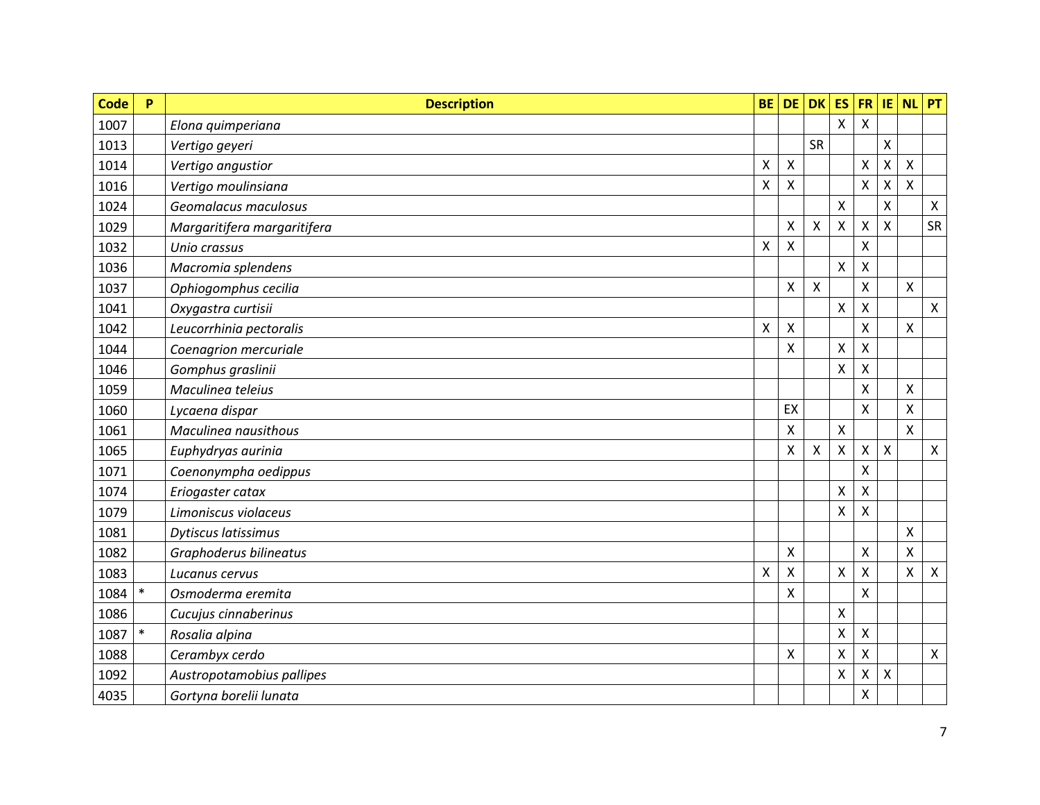| <b>Code</b> | $\mathsf{P}$ | <b>Description</b>          | <b>BE</b>          | <b>DE</b>                 | <b>DK</b>                 | <b>ES</b>                 | <b>FR</b>          | IE | <b>NL</b>          | PT                        |
|-------------|--------------|-----------------------------|--------------------|---------------------------|---------------------------|---------------------------|--------------------|----|--------------------|---------------------------|
| 1007        |              | Elona quimperiana           |                    |                           |                           | $\mathsf{x}$              | X                  |    |                    |                           |
| 1013        |              | Vertigo geyeri              |                    |                           | SR                        |                           |                    | X  |                    |                           |
| 1014        |              | Vertigo angustior           | X                  | $\boldsymbol{\mathsf{X}}$ |                           |                           | $\mathsf{\chi}$    | X  | $\mathsf{X}$       |                           |
| 1016        |              | Vertigo moulinsiana         | Χ                  | X                         |                           |                           | Χ                  | Χ  | X                  |                           |
| 1024        |              | Geomalacus maculosus        |                    |                           |                           | X                         |                    | X  |                    | $\boldsymbol{\mathsf{X}}$ |
| 1029        |              | Margaritifera margaritifera |                    | $\boldsymbol{\mathsf{X}}$ | $\pmb{\times}$            | $\pmb{\times}$            | Χ                  | X  |                    | SR                        |
| 1032        |              | Unio crassus                | $\pmb{\mathsf{X}}$ | $\mathsf{X}$              |                           |                           | $\mathsf{X}$       |    |                    |                           |
| 1036        |              | Macromia splendens          |                    |                           |                           | X                         | X                  |    |                    |                           |
| 1037        |              | Ophiogomphus cecilia        |                    | $\mathsf{X}$              | $\boldsymbol{\mathsf{X}}$ |                           | $\mathsf{X}$       |    | X                  |                           |
| 1041        |              | Oxygastra curtisii          |                    |                           |                           | Χ                         | X                  |    |                    | $\boldsymbol{\mathsf{X}}$ |
| 1042        |              | Leucorrhinia pectoralis     | $\pmb{\mathsf{X}}$ | $\boldsymbol{\mathsf{X}}$ |                           |                           | X                  |    | $\pmb{\mathsf{X}}$ |                           |
| 1044        |              | Coenagrion mercuriale       |                    | $\boldsymbol{\mathsf{X}}$ |                           | X                         | Χ                  |    |                    |                           |
| 1046        |              | Gomphus graslinii           |                    |                           |                           | $\pmb{\mathsf{X}}$        | Χ                  |    |                    |                           |
| 1059        |              | Maculinea teleius           |                    |                           |                           |                           | Χ                  |    | $\pmb{\mathsf{X}}$ |                           |
| 1060        |              | Lycaena dispar              |                    | EX                        |                           |                           | $\pmb{\mathsf{X}}$ |    | $\pmb{\mathsf{X}}$ |                           |
| 1061        |              | Maculinea nausithous        |                    | $\boldsymbol{\mathsf{X}}$ |                           | Χ                         |                    |    | X                  |                           |
| 1065        |              | Euphydryas aurinia          |                    | $\boldsymbol{\mathsf{X}}$ | $\boldsymbol{\mathsf{X}}$ | X                         | X                  | X  |                    | $\boldsymbol{\mathsf{X}}$ |
| 1071        |              | Coenonympha oedippus        |                    |                           |                           |                           | Χ                  |    |                    |                           |
| 1074        |              | Eriogaster catax            |                    |                           |                           | Χ                         | X                  |    |                    |                           |
| 1079        |              | Limoniscus violaceus        |                    |                           |                           | X                         | Χ                  |    |                    |                           |
| 1081        |              | Dytiscus latissimus         |                    |                           |                           |                           |                    |    | Χ                  |                           |
| 1082        |              | Graphoderus bilineatus      |                    | $\mathsf{X}$              |                           |                           | X                  |    | $\mathsf{X}$       |                           |
| 1083        |              | Lucanus cervus              | X                  | X                         |                           | $\mathsf{X}$              | Χ                  |    | $\pmb{\mathsf{X}}$ | $\boldsymbol{\mathsf{X}}$ |
| 1084        | $\ast$       | Osmoderma eremita           |                    | Χ                         |                           |                           | Χ                  |    |                    |                           |
| 1086        |              | Cucujus cinnaberinus        |                    |                           |                           | $\pmb{\mathsf{X}}$        |                    |    |                    |                           |
| 1087        | $\ast$       | Rosalia alpina              |                    |                           |                           | $\boldsymbol{\mathsf{X}}$ | $\mathsf{X}$       |    |                    |                           |
| 1088        |              | Cerambyx cerdo              |                    | X                         |                           | X                         | Χ                  |    |                    | $\boldsymbol{\mathsf{X}}$ |
| 1092        |              | Austropotamobius pallipes   |                    |                           |                           | Χ                         | X                  | X  |                    |                           |
| 4035        |              | Gortyna borelii lunata      |                    |                           |                           |                           | Χ                  |    |                    |                           |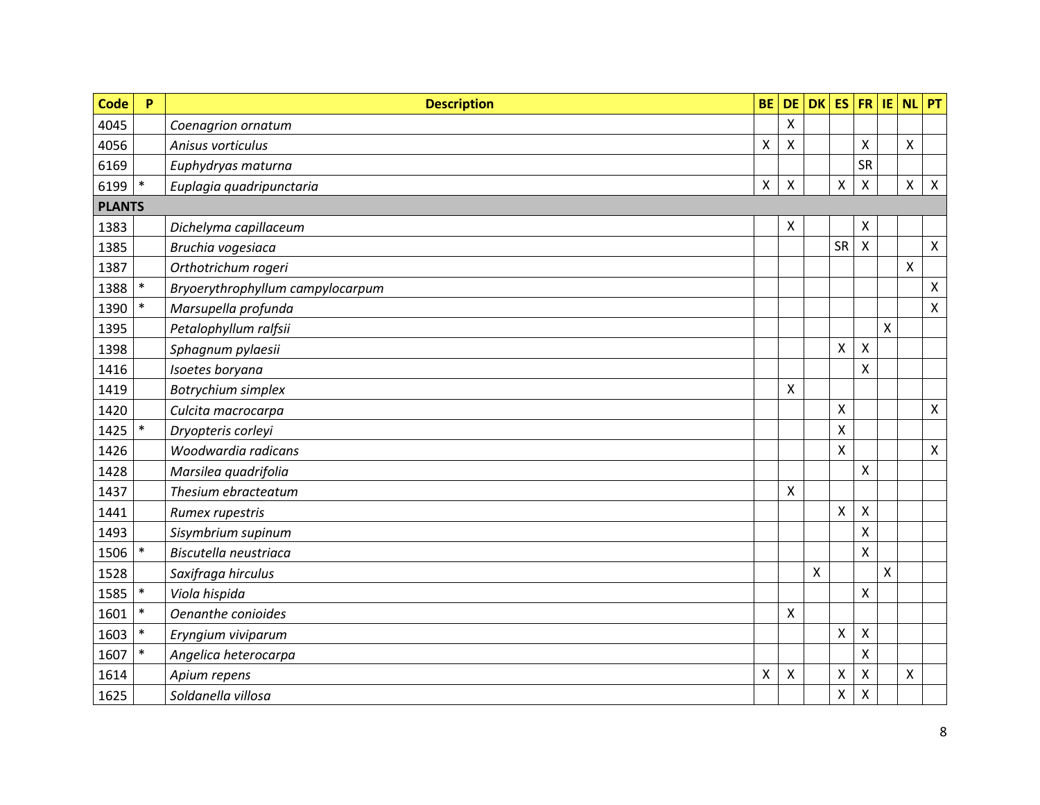| <b>Code</b>   | P      | <b>Description</b>               | <b>BE</b> | <b>DE</b>    | <b>DK</b>          | ES                        | <b>FR</b>                 | IE                        | <b>NL</b> | PT             |
|---------------|--------|----------------------------------|-----------|--------------|--------------------|---------------------------|---------------------------|---------------------------|-----------|----------------|
| 4045          |        | Coenagrion ornatum               |           | $\mathsf{X}$ |                    |                           |                           |                           |           |                |
| 4056          |        | Anisus vorticulus                | Χ         | X            |                    |                           | X                         |                           | Χ         |                |
| 6169          |        | Euphydryas maturna               |           |              |                    |                           | <b>SR</b>                 |                           |           |                |
| 6199          | $\ast$ | Euplagia quadripunctaria         | X         | X            |                    | $\pmb{\mathsf{X}}$        | $\boldsymbol{\mathsf{X}}$ |                           | Χ         | $\mathsf{X}$   |
| <b>PLANTS</b> |        |                                  |           |              |                    |                           |                           |                           |           |                |
| 1383          |        | Dichelyma capillaceum            |           | X            |                    |                           | $\boldsymbol{\mathsf{X}}$ |                           |           |                |
| 1385          |        | Bruchia vogesiaca                |           |              |                    | SR                        | $\boldsymbol{\mathsf{X}}$ |                           |           | $\mathsf{X}$   |
| 1387          |        | Orthotrichum rogeri              |           |              |                    |                           |                           |                           | Χ         |                |
| 1388          | $\ast$ | Bryoerythrophyllum campylocarpum |           |              |                    |                           |                           |                           |           | $\pmb{\times}$ |
| 1390          | $\ast$ | Marsupella profunda              |           |              |                    |                           |                           |                           |           | $\pmb{\times}$ |
| 1395          |        | Petalophyllum ralfsii            |           |              |                    |                           |                           | $\boldsymbol{\mathsf{X}}$ |           |                |
| 1398          |        | Sphagnum pylaesii                |           |              |                    | X                         | $\boldsymbol{\mathsf{X}}$ |                           |           |                |
| 1416          |        | Isoetes boryana                  |           |              |                    |                           | $\mathsf{X}$              |                           |           |                |
| 1419          |        | Botrychium simplex               |           | Χ            |                    |                           |                           |                           |           |                |
| 1420          |        | Culcita macrocarpa               |           |              |                    | $\boldsymbol{\mathsf{X}}$ |                           |                           |           | $\mathsf{X}$   |
| 1425          | $\ast$ | Dryopteris corleyi               |           |              |                    | $\pmb{\times}$            |                           |                           |           |                |
| 1426          |        | Woodwardia radicans              |           |              |                    | $\pmb{\times}$            |                           |                           |           | $\mathsf{X}$   |
| 1428          |        | Marsilea quadrifolia             |           |              |                    |                           | $\mathsf{X}$              |                           |           |                |
| 1437          |        | Thesium ebracteatum              |           | Χ            |                    |                           |                           |                           |           |                |
| 1441          |        | Rumex rupestris                  |           |              |                    | X                         | $\pmb{\mathsf{X}}$        |                           |           |                |
| 1493          |        | Sisymbrium supinum               |           |              |                    |                           | X                         |                           |           |                |
| 1506          | $\ast$ | Biscutella neustriaca            |           |              |                    |                           | $\mathsf{X}$              |                           |           |                |
| 1528          |        | Saxifraga hirculus               |           |              | $\pmb{\mathsf{X}}$ |                           |                           | Χ                         |           |                |
| 1585          | $\ast$ | Viola hispida                    |           |              |                    |                           | $\mathsf{X}$              |                           |           |                |
| 1601          | $\ast$ | Oenanthe conioides               |           | Χ            |                    |                           |                           |                           |           |                |
| 1603          | $\ast$ | Eryngium viviparum               |           |              |                    | $\boldsymbol{\mathsf{X}}$ | $\boldsymbol{\mathsf{X}}$ |                           |           |                |
| 1607          | $\ast$ | Angelica heterocarpa             |           |              |                    |                           | X                         |                           |           |                |
| 1614          |        | Apium repens                     | X         | X            |                    | $\mathsf{X}$              | $\pmb{\mathsf{X}}$        |                           | Χ         |                |
| 1625          |        | Soldanella villosa               |           |              |                    | $\pmb{\mathsf{X}}$        | X                         |                           |           |                |